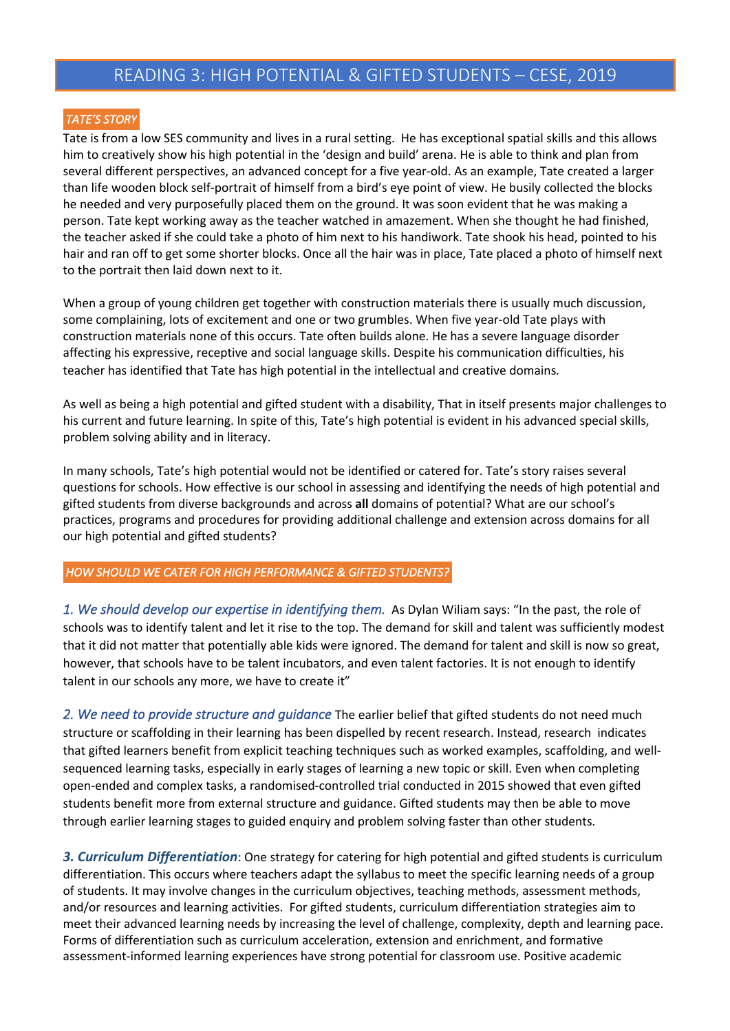## READING 3: HIGH POTENTIAL & GIFTED STUDENTS – CESE, 2019

## *TATE'S STORY*

Tate is from a low SES community and lives in a rural setting. He has exceptional spatial skills and this allows him to creatively show his high potential in the 'design and build' arena. He is able to think and plan from several different perspectives, an advanced concept for a five year-old. As an example, Tate created a larger than life wooden block self-portrait of himself from a bird's eye point of view. He busily collected the blocks he needed and very purposefully placed them on the ground. It was soon evident that he was making a person. Tate kept working away as the teacher watched in amazement. When she thought he had finished, the teacher asked if she could take a photo of him next to his handiwork. Tate shook his head, pointed to his hair and ran off to get some shorter blocks. Once all the hair was in place, Tate placed a photo of himself next to the portrait then laid down next to it.

When a group of young children get together with construction materials there is usually much discussion, some complaining, lots of excitement and one or two grumbles. When five year-old Tate plays with construction materials none of this occurs. Tate often builds alone. He has a severe language disorder affecting his expressive, receptive and social language skills. Despite his communication difficulties, his teacher has identified that Tate has high potential in the intellectual and creative domains.

As well as being a high potential and gifted student with a disability, That in itself presents major challenges to his current and future learning. In spite of this, Tate's high potential is evident in his advanced special skills, problem solving ability and in literacy.

In many schools, Tate's high potential would not be identified or catered for. Tate's story raises several questions for schools. How effective is our school in assessing and identifying the needs of high potential and gifted students from diverse backgrounds and across **all** domains of potential? What are our school's practices, programs and procedures for providing additional challenge and extension across domains for all our high potential and gifted students?

## *HOW SHOULD WE CATER FOR HIGH PERFORMANCE & GIFTED STUDENTS?*

*1. We should develop our expertise in identifying them.* As Dylan Wiliam says: "In the past, the role of schools was to identify talent and let it rise to the top. The demand for skill and talent was sufficiently modest that it did not matter that potentially able kids were ignored. The demand for talent and skill is now so great, however, that schools have to be talent incubators, and even talent factories. It is not enough to identify talent in our schools any more, we have to create it"

*2. We need to provide structure and guidance* The earlier belief that gifted students do not need much structure or scaffolding in their learning has been dispelled by recent research. Instead, research indicates that gifted learners benefit from explicit teaching techniques such as worked examples, scaffolding, and wellsequenced learning tasks, especially in early stages of learning a new topic or skill. Even when completing open-ended and complex tasks, a randomised-controlled trial conducted in 2015 showed that even gifted students benefit more from external structure and guidance. Gifted students may then be able to move through earlier learning stages to guided enquiry and problem solving faster than other students.

*3. Curriculum Differentiation*: One strategy for catering for high potential and gifted students is curriculum differentiation. This occurs where teachers adapt the syllabus to meet the specific learning needs of a group of students. It may involve changes in the curriculum objectives, teaching methods, assessment methods, and/or resources and learning activities. For gifted students, curriculum differentiation strategies aim to meet their advanced learning needs by increasing the level of challenge, complexity, depth and learning pace. Forms of differentiation such as curriculum acceleration, extension and enrichment, and formative assessment-informed learning experiences have strong potential for classroom use. Positive academic